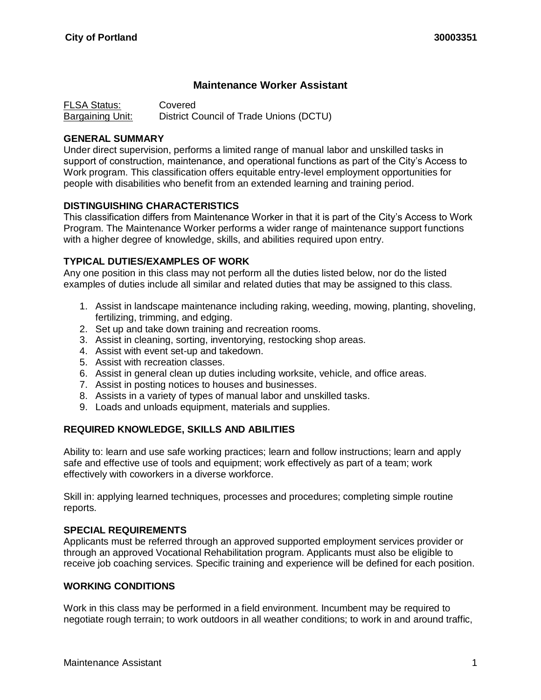# **Maintenance Worker Assistant**

FLSA Status: Covered Bargaining Unit: District Council of Trade Unions (DCTU)

#### **GENERAL SUMMARY**

Under direct supervision, performs a limited range of manual labor and unskilled tasks in support of construction, maintenance, and operational functions as part of the City's Access to Work program. This classification offers equitable entry-level employment opportunities for people with disabilities who benefit from an extended learning and training period.

## **DISTINGUISHING CHARACTERISTICS**

This classification differs from Maintenance Worker in that it is part of the City's Access to Work Program. The Maintenance Worker performs a wider range of maintenance support functions with a higher degree of knowledge, skills, and abilities required upon entry.

## **TYPICAL DUTIES/EXAMPLES OF WORK**

Any one position in this class may not perform all the duties listed below, nor do the listed examples of duties include all similar and related duties that may be assigned to this class.

- 1. Assist in landscape maintenance including raking, weeding, mowing, planting, shoveling, fertilizing, trimming, and edging.
- 2. Set up and take down training and recreation rooms.
- 3. Assist in cleaning, sorting, inventorying, restocking shop areas.
- 4. Assist with event set-up and takedown.
- 5. Assist with recreation classes.
- 6. Assist in general clean up duties including worksite, vehicle, and office areas.
- 7. Assist in posting notices to houses and businesses.
- 8. Assists in a variety of types of manual labor and unskilled tasks.
- 9. Loads and unloads equipment, materials and supplies.

#### **REQUIRED KNOWLEDGE, SKILLS AND ABILITIES**

Ability to: learn and use safe working practices; learn and follow instructions; learn and apply safe and effective use of tools and equipment; work effectively as part of a team; work effectively with coworkers in a diverse workforce.

Skill in: applying learned techniques, processes and procedures; completing simple routine reports.

#### **SPECIAL REQUIREMENTS**

Applicants must be referred through an approved supported employment services provider or through an approved Vocational Rehabilitation program. Applicants must also be eligible to receive job coaching services. Specific training and experience will be defined for each position.

#### **WORKING CONDITIONS**

Work in this class may be performed in a field environment. Incumbent may be required to negotiate rough terrain; to work outdoors in all weather conditions; to work in and around traffic,